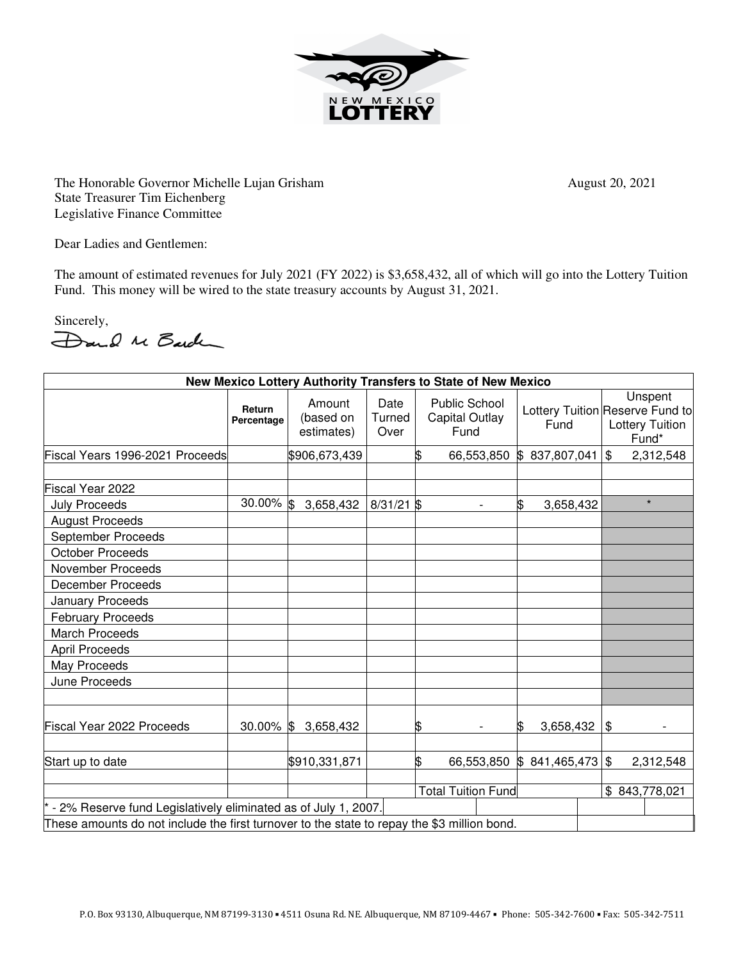

The Honorable Governor Michelle Lujan Grisham August 20, 2021 State Treasurer Tim Eichenberg Legislative Finance Committee

Dear Ladies and Gentlemen:

The amount of estimated revenues for July 2021 (FY 2022) is \$3,658,432, all of which will go into the Lottery Tuition Fund. This money will be wired to the state treasury accounts by August 31, 2021.

Sincerely,<br>Dand Me Barden

| New Mexico Lottery Authority Transfers to State of New Mexico                               |                      |                                   |                           |    |                                                       |                              |  |                                                                               |
|---------------------------------------------------------------------------------------------|----------------------|-----------------------------------|---------------------------|----|-------------------------------------------------------|------------------------------|--|-------------------------------------------------------------------------------|
|                                                                                             | Return<br>Percentage | Amount<br>(based on<br>estimates) | Date<br>Turned<br>Over    |    | <b>Public School</b><br><b>Capital Outlay</b><br>Fund | Fund                         |  | Unspent<br>Lottery Tuition Reserve Fund to<br><b>Lottery Tuition</b><br>Fund* |
| Fiscal Years 1996-2021 Proceeds                                                             |                      | \$906,673,439                     |                           | \$ |                                                       | 66,553,850 \$ 837,807,041    |  | $\mathfrak{S}$<br>2,312,548                                                   |
|                                                                                             |                      |                                   |                           |    |                                                       |                              |  |                                                                               |
| Fiscal Year 2022                                                                            |                      |                                   |                           |    |                                                       |                              |  |                                                                               |
| <b>July Proceeds</b>                                                                        | 30.00% \$            | 3,658,432                         | $8/31/21$ \$              |    | $\overline{a}$                                        | \$<br>3,658,432              |  | $\star$                                                                       |
| <b>August Proceeds</b>                                                                      |                      |                                   |                           |    |                                                       |                              |  |                                                                               |
| September Proceeds                                                                          |                      |                                   |                           |    |                                                       |                              |  |                                                                               |
| <b>October Proceeds</b>                                                                     |                      |                                   |                           |    |                                                       |                              |  |                                                                               |
| November Proceeds                                                                           |                      |                                   |                           |    |                                                       |                              |  |                                                                               |
| <b>December Proceeds</b>                                                                    |                      |                                   |                           |    |                                                       |                              |  |                                                                               |
| January Proceeds                                                                            |                      |                                   |                           |    |                                                       |                              |  |                                                                               |
| <b>February Proceeds</b>                                                                    |                      |                                   |                           |    |                                                       |                              |  |                                                                               |
| <b>March Proceeds</b>                                                                       |                      |                                   |                           |    |                                                       |                              |  |                                                                               |
| <b>April Proceeds</b>                                                                       |                      |                                   |                           |    |                                                       |                              |  |                                                                               |
| May Proceeds                                                                                |                      |                                   |                           |    |                                                       |                              |  |                                                                               |
| June Proceeds                                                                               |                      |                                   |                           |    |                                                       |                              |  |                                                                               |
| Fiscal Year 2022 Proceeds                                                                   | $30.00\%$ \$         | 3,658,432                         |                           | \$ |                                                       | 3,658,432<br>ß.              |  | \$                                                                            |
| Start up to date                                                                            |                      | \$910,331,871                     |                           | \$ |                                                       | 66,553,850 \$ 841,465,473 \$ |  | 2,312,548                                                                     |
|                                                                                             |                      |                                   | <b>Total Tuition Fund</b> |    |                                                       |                              |  | \$843,778,021                                                                 |
| * - 2% Reserve fund Legislatively eliminated as of July 1, 2007.                            |                      |                                   |                           |    |                                                       |                              |  |                                                                               |
| These amounts do not include the first turnover to the state to repay the \$3 million bond. |                      |                                   |                           |    |                                                       |                              |  |                                                                               |